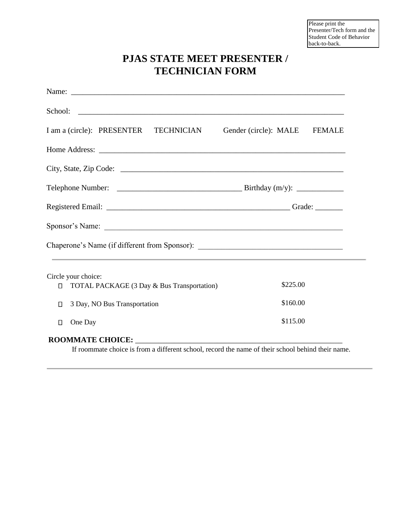Please print the Presenter/Tech form and the Student Code of Behavior back-to-back.

## **PJAS STATE MEET PRESENTER / TECHNICIAN FORM**

|        | I am a (circle): PRESENTER TECHNICIAN                                             | Gender (circle): MALE FEMALE |  |  |
|--------|-----------------------------------------------------------------------------------|------------------------------|--|--|
|        |                                                                                   |                              |  |  |
|        |                                                                                   |                              |  |  |
|        |                                                                                   |                              |  |  |
|        |                                                                                   |                              |  |  |
|        |                                                                                   |                              |  |  |
|        | Chaperone's Name (if different from Sponsor): ___________________________________ |                              |  |  |
|        | Circle your choice:                                                               |                              |  |  |
| $\Box$ | TOTAL PACKAGE (3 Day & Bus Transportation)                                        | \$225.00                     |  |  |
| O      | 3 Day, NO Bus Transportation                                                      | \$160.00                     |  |  |
| $\Box$ | One Day                                                                           | \$115.00                     |  |  |
|        |                                                                                   |                              |  |  |

## **ROOMMATE CHOICE:** \_\_\_\_\_\_\_\_\_\_\_\_\_\_\_\_\_\_\_\_\_\_\_\_\_\_\_\_\_\_\_\_\_\_\_\_\_\_\_\_\_\_\_\_\_\_\_\_\_\_\_\_\_

If roommate choice is from a different school, record the name of their school behind their name.